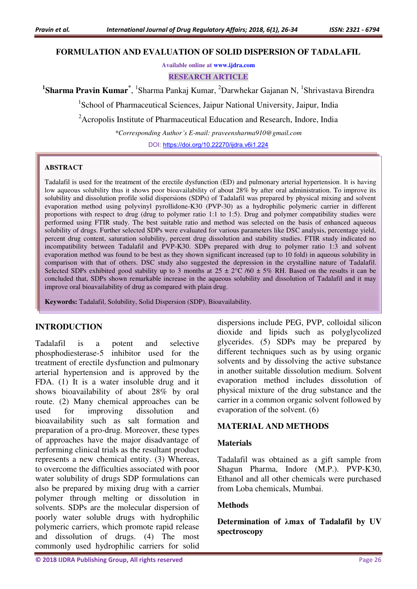#### **FORMULATION AND EVALUATION OF SOLID DISPERSION OF TADALAFIL**

**Available online at [www.ijdra.com](http://www.ijdra.com/)**

**RESEARCH ARTICLE** 

<sup>1</sup>Sharma Pravin Kumar<sup>\*</sup>, <sup>1</sup>Sharma Pankaj Kumar, <sup>2</sup>Darwhekar Gajanan N, <sup>1</sup>Shrivastava Birendra

<sup>1</sup>School of Pharmaceutical Sciences, Jaipur National University, Jaipur, India

<sup>2</sup> Acropolis Institute of Pharmaceutical Education and Research, Indore, India

*\*Corresponding Author's E-mail: praveensharma910@gmail.com* 

DOI:<https://doi.org/10.22270/ijdra.v6i1.224>

#### **ABSTRACT**

Tadalafil is used for the treatment of the erectile dysfunction (ED) and pulmonary arterial hypertension. It is having low aqueous solubility thus it shows poor bioavailability of about 28% by after oral administration. To improve its solubility and dissolution profile solid dispersions (SDPs) of Tadalafil was prepared by physical mixing and solvent evaporation method using polyvinyl pyrollidone-K30 (PVP-30) as a hydrophilic polymeric carrier in different proportions with respect to drug (drug to polymer ratio 1:1 to 1:5). Drug and polymer compatibility studies were performed using FTIR study. The best suitable ratio and method was selected on the basis of enhanced aqueous solubility of drugs. Further selected SDPs were evaluated for various parameters like DSC analysis, percentage yield, percent drug content, saturation solubility, percent drug dissolution and stability studies. FTIR study indicated no incompatibility between Tadalafil and PVP-K30. SDPs prepared with drug to polymer ratio 1:3 and solvent evaporation method was found to be best as they shown significant increased (up to 10 fold) in aqueous solubility in comparison with that of others. DSC study also suggested the depression in the crystalline nature of Tadalafil. Selected SDPs exhibited good stability up to 3 months at  $25 \pm 2^{\circ}C/60 \pm 5\%$  RH. Based on the results it can be concluded that, SDPs shown remarkable increase in the aqueous solubility and dissolution of Tadalafil and it may improve oral bioavailability of drug as compared with plain drug.

**Keywords:** Tadalafil, Solubility, Solid Dispersion (SDP), Bioavailability.

### **INTRODUCTION**

Tadalafil is a potent and selective phosphodiesterase-5 inhibitor used for the treatment of erectile dysfunction and pulmonary arterial hypertension and is approved by the FDA. (1) It is a water insoluble drug and it shows bioavailability of about 28% by oral route. (2) Many chemical approaches can be used for improving dissolution and bioavailability such as salt formation and preparation of a pro-drug. Moreover, these types of approaches have the major disadvantage of performing clinical trials as the resultant product represents a new chemical entity. (3) Whereas, to overcome the difficulties associated with poor water solubility of drugs SDP formulations can also be prepared by mixing drug with a carrier polymer through melting or dissolution in solvents. SDPs are the molecular dispersion of poorly water soluble drugs with hydrophilic polymeric carriers, which promote rapid release and dissolution of drugs. (4) The most commonly used hydrophilic carriers for solid dispersions include PEG, PVP, colloidal silicon dioxide and lipids such as polyglycolized glycerides. (5) SDPs may be prepared by different techniques such as by using organic solvents and by dissolving the active substance in another suitable dissolution medium. Solvent evaporation method includes dissolution of physical mixture of the drug substance and the carrier in a common organic solvent followed by evaporation of the solvent. (6)

### **MATERIAL AND METHODS**

#### **Materials**

Tadalafil was obtained as a gift sample from Shagun Pharma, Indore (M.P.). PVP-K30, Ethanol and all other chemicals were purchased from Loba chemicals, Mumbai.

### **Methods**

**Determination of λmax of Tadalafil by UV spectroscopy**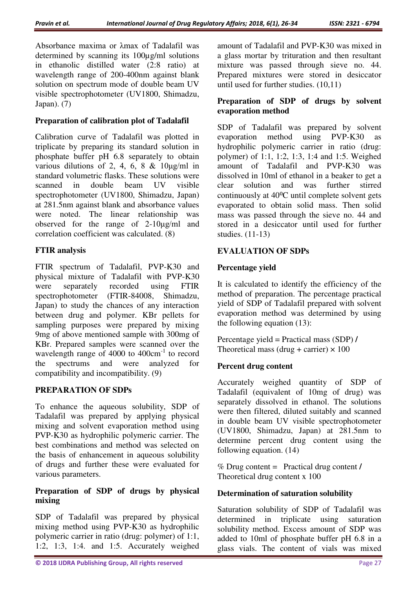Absorbance maxima or  $\lambda$ max of Tadalafil was determined by scanning its 100µg/ml solutions in ethanolic distilled water (2:8 ratio) at wavelength range of 200-400nm against blank solution on spectrum mode of double beam UV visible spectrophotometer (UV1800, Shimadzu, Japan).  $(7)$ 

# **Preparation of calibration plot of Tadalafil**

Calibration curve of Tadalafil was plotted in triplicate by preparing its standard solution in phosphate buffer pH 6.8 separately to obtain various dilutions of 2, 4, 6, 8  $&$  10 $\mu$ g/ml in standard volumetric flasks. These solutions were scanned in double beam UV visible spectrophotometer (UV1800, Shimadzu, Japan) at 281.5nm against blank and absorbance values were noted. The linear relationship was observed for the range of  $2-10\mu g/ml$  and correlation coefficient was calculated. (8)

### **FTIR analysis**

FTIR spectrum of Tadalafil, PVP-K30 and physical mixture of Tadalafil with PVP-K30 were separately recorded using FTIR spectrophotometer (FTIR-84008, Shimadzu, Japan) to study the chances of any interaction between drug and polymer. KBr pellets for sampling purposes were prepared by mixing 9mg of above mentioned sample with 300mg of KBr. Prepared samples were scanned over the wavelength range of  $4000$  to  $400 \text{cm}^{-1}$  to record the spectrums and were analyzed for compatibility and incompatibility. (9)

### **PREPARATION OF SDPs**

To enhance the aqueous solubility, SDP of Tadalafil was prepared by applying physical mixing and solvent evaporation method using PVP-K30 as hydrophilic polymeric carrier. The best combinations and method was selected on the basis of enhancement in aqueous solubility of drugs and further these were evaluated for various parameters.

# **Preparation of SDP of drugs by physical mixing**

SDP of Tadalafil was prepared by physical mixing method using PVP-K30 as hydrophilic polymeric carrier in ratio (drug: polymer) of 1:1, 1:2, 1:3, 1:4. and 1:5. Accurately weighed amount of Tadalafil and PVP-K30 was mixed in a glass mortar by trituration and then resultant mixture was passed through sieve no. 44. Prepared mixtures were stored in desiccator until used for further studies. (10,11)

### **Preparation of SDP of drugs by solvent evaporation method**

SDP of Tadalafil was prepared by solvent evaporation method using PVP-K30 as hydrophilic polymeric carrier in ratio (drug: polymer) of 1:1, 1:2, 1:3, 1:4 and 1:5. Weighed amount of Tadalafil and PVP-K30 was dissolved in 10ml of ethanol in a beaker to get a clear solution and was further stirred continuously at  $40^{\circ}$ C until complete solvent gets evaporated to obtain solid mass. Then solid mass was passed through the sieve no. 44 and stored in a desiccator until used for further studies. (11-13)

# **EVALUATION OF SDPs**

### **Percentage yield**

It is calculated to identify the efficiency of the method of preparation. The percentage practical yield of SDP of Tadalafil prepared with solvent evaporation method was determined by using the following equation (13):

Percentage yield = Practical mass (SDP) **/** Theoretical mass (drug + carrier)  $\times$  100

# **Percent drug content**

Accurately weighed quantity of SDP of Tadalafil (equivalent of 10mg of drug) was separately dissolved in ethanol. The solutions were then filtered, diluted suitably and scanned in double beam UV visible spectrophotometer (UV1800, Shimadzu, Japan) at 281.5nm to determine percent drug content using the following equation. (14)

% Drug content = Practical drug content **/**  Theoretical drug content x 100

### **Determination of saturation solubility**

Saturation solubility of SDP of Tadalafil was determined in triplicate using saturation solubility method. Excess amount of SDP was added to 10ml of phosphate buffer pH 6.8 in a glass vials. The content of vials was mixed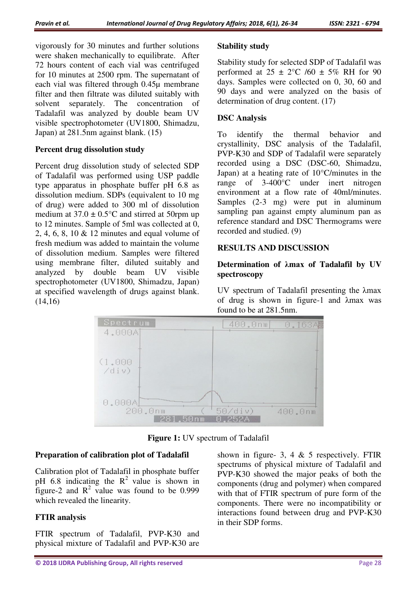vigorously for 30 minutes and further solutions were shaken mechanically to equilibrate. After 72 hours content of each vial was centrifuged for 10 minutes at 2500 rpm. The supernatant of each vial was filtered through 0.45µ membrane filter and then filtrate was diluted suitably with solvent separately. The concentration of Tadalafil was analyzed by double beam UV visible spectrophotometer (UV1800, Shimadzu, Japan) at 281.5nm against blank. (15)

# **Percent drug dissolution study**

Percent drug dissolution study of selected SDP of Tadalafil was performed using USP paddle type apparatus in phosphate buffer pH 6.8 as dissolution medium. SDPs (equivalent to 10 mg of drug) were added to 300 ml of dissolution medium at  $37.0 \pm 0.5$ °C and stirred at 50rpm up to 12 minutes. Sample of 5ml was collected at 0, 2, 4, 6, 8, 10 & 12 minutes and equal volume of fresh medium was added to maintain the volume of dissolution medium. Samples were filtered using membrane filter, diluted suitably and analyzed by double beam UV visible spectrophotometer (UV1800, Shimadzu, Japan) at specified wavelength of drugs against blank.  $(14,16)$ 

# **Stability study**

Stability study for selected SDP of Tadalafil was performed at  $25 \pm 2$ °C /60  $\pm$  5% RH for 90 days. Samples were collected on 0, 30, 60 and 90 days and were analyzed on the basis of determination of drug content. (17)

# **DSC Analysis**

To identify the thermal behavior and crystallinity, DSC analysis of the Tadalafil, PVP-K30 and SDP of Tadalafil were separately recorded using a DSC (DSC-60, Shimadzu, Japan) at a heating rate of 10°C/minutes in the range of 3-400°C under inert nitrogen environment at a flow rate of 40ml/minutes. Samples (2-3 mg) were put in aluminum sampling pan against empty aluminum pan as reference standard and DSC Thermograms were recorded and studied. (9)

### **RESULTS AND DISCUSSION**

# **Determination of λmax of Tadalafil by UV spectroscopy**

UV spectrum of Tadalafil presenting the  $\lambda$ max of drug is shown in figure-1 and  $\lambda$ max was found to be at 281.5nm.



**Figure 1:** UV spectrum of Tadalafil

# **Preparation of calibration plot of Tadalafil**

Calibration plot of Tadalafil in phosphate buffer pH 6.8 indicating the  $R^2$  value is shown in figure-2 and  $R^2$  value was found to be 0.999 which revealed the linearity.

# **FTIR analysis**

FTIR spectrum of Tadalafil, PVP-K30 and physical mixture of Tadalafil and PVP-K30 are

shown in figure- 3, 4  $\&$  5 respectively. FTIR spectrums of physical mixture of Tadalafil and PVP-K30 showed the major peaks of both the components (drug and polymer) when compared with that of FTIR spectrum of pure form of the components. There were no incompatibility or interactions found between drug and PVP-K30 in their SDP forms.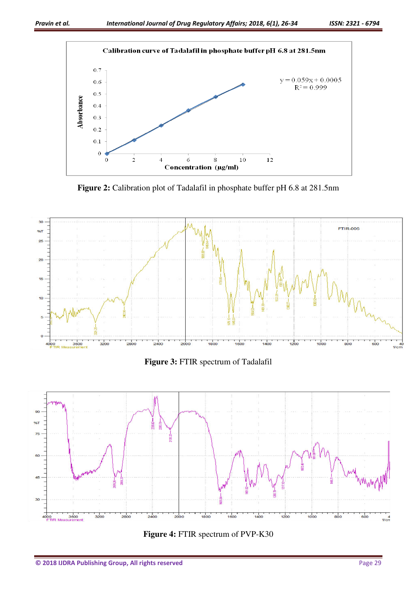

**Figure 2:** Calibration plot of Tadalafil in phosphate buffer pH 6.8 at 281.5nm



**Figure 3:** FTIR spectrum of Tadalafil



**Figure 4:** FTIR spectrum of PVP-K30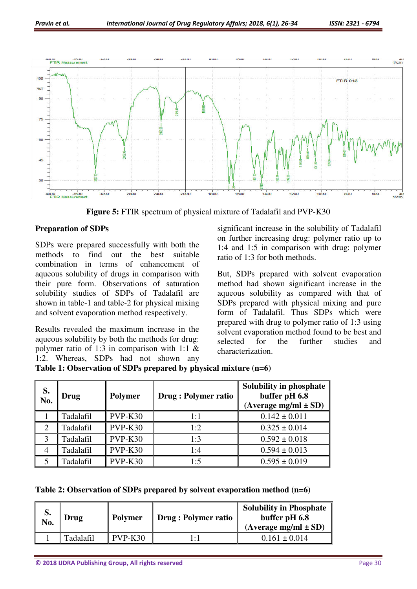

**Figure 5:** FTIR spectrum of physical mixture of Tadalafil and PVP-K30

# **Preparation of SDPs**

SDPs were prepared successfully with both the methods to find out the best suitable combination in terms of enhancement of aqueous solubility of drugs in comparison with their pure form. Observations of saturation solubility studies of SDPs of Tadalafil are shown in table-1 and table-2 for physical mixing and solvent evaporation method respectively.

Results revealed the maximum increase in the aqueous solubility by both the methods for drug: polymer ratio of 1:3 in comparison with 1:1 & 1:2. Whereas, SDPs had not shown any

significant increase in the solubility of Tadalafil on further increasing drug: polymer ratio up to 1:4 and 1:5 in comparison with drug: polymer ratio of 1:3 for both methods.

But, SDPs prepared with solvent evaporation method had shown significant increase in the aqueous solubility as compared with that of SDPs prepared with physical mixing and pure form of Tadalafil. Thus SDPs which were prepared with drug to polymer ratio of 1:3 using solvent evaporation method found to be best and<br>selected for the further studies and selected for the further studies and characterization.

| S.<br>No.      | Drug      | Polymer   | <b>Drug: Polymer ratio</b> | Solubility in phosphate<br>buffer pH 6.8<br>(Average mg/ml $\pm$ SD) |
|----------------|-----------|-----------|----------------------------|----------------------------------------------------------------------|
|                | Tadalafil | $PVP-K30$ | 1:1                        | $0.142 \pm 0.011$                                                    |
|                | Tadalafil | PVP-K30   | 1:2                        | $0.325 \pm 0.014$                                                    |
|                | Tadalafil | PVP-K30   | 1:3                        | $0.592 \pm 0.018$                                                    |
| $\overline{4}$ | Tadalafil | PVP-K30   | 1:4                        | $0.594 \pm 0.013$                                                    |
|                | Tadalafil | PVP-K30   | 1:5                        | $0.595 \pm 0.019$                                                    |

**Table 1: Observation of SDPs prepared by physical mixture (n=6)** 

**Table 2: Observation of SDPs prepared by solvent evaporation method (n=6)** 

| $\Big  \begin{array}{c} S. \\ \text{No.} \end{array}$ | Drug             | Polymer   | Drug : Polymer ratio | <b>Solubility in Phosphate</b><br>buffer pH 6.8<br>$(Average mg/ml \pm SD)$ |
|-------------------------------------------------------|------------------|-----------|----------------------|-----------------------------------------------------------------------------|
|                                                       | <b>Tadalafil</b> | $PVP-K30$ | l • 1                | $0.161 \pm 0.014$                                                           |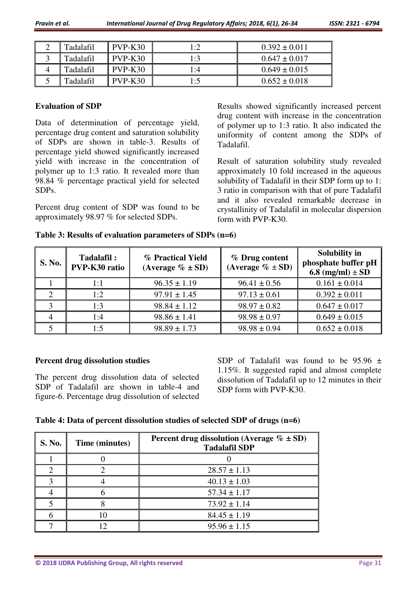| Tadalafil | $PVP-K30$ | 1 $\cdot$ $\gamma$ | $0.392 \pm 0.011$ |
|-----------|-----------|--------------------|-------------------|
| Tadalafil | $PVP-K30$ | 1:3                | $0.647 \pm 0.017$ |
| Tadalafil | $PVP-K30$ | 1:4                | $0.649 \pm 0.015$ |
| Tadalafil | $PVP-K30$ | 1:5                | $0.652 \pm 0.018$ |

### **Evaluation of SDP**

Data of determination of percentage yield, percentage drug content and saturation solubility of SDPs are shown in table-3. Results of percentage yield showed significantly increased yield with increase in the concentration of polymer up to 1:3 ratio. It revealed more than 98.84 % percentage practical yield for selected SDPs.

Percent drug content of SDP was found to be approximately 98.97 % for selected SDPs.

Results showed significantly increased percent drug content with increase in the concentration of polymer up to 1:3 ratio. It also indicated the uniformity of content among the SDPs of Tadalafil.

Result of saturation solubility study revealed approximately 10 fold increased in the aqueous solubility of Tadalafil in their SDP form up to 1: 3 ratio in comparison with that of pure Tadalafil and it also revealed remarkable decrease in crystallinity of Tadalafil in molecular dispersion form with PVP-K30.

| Table 3: Results of evaluation parameters of SDPs $(n=6)$ |  |
|-----------------------------------------------------------|--|
|-----------------------------------------------------------|--|

| S. No. | Tadalafil:<br>PVP-K30 ratio | % Practical Yield<br>(Average $\% \pm SD$ ) | % Drug content<br>(Average $\% \pm SD$ ) | Solubility in<br>phosphate buffer pH<br>$6.8 \text{ (mg/ml)} \pm SD$ |
|--------|-----------------------------|---------------------------------------------|------------------------------------------|----------------------------------------------------------------------|
|        | 1:1                         | $96.35 \pm 1.19$                            | $96.41 \pm 0.56$                         | $0.161 \pm 0.014$                                                    |
|        | 1:2                         | $97.91 \pm 1.45$                            | $97.13 \pm 0.61$                         | $0.392 \pm 0.011$                                                    |
|        | 1:3                         | $98.84 \pm 1.12$                            | $98.97 \pm 0.82$                         | $0.647 \pm 0.017$                                                    |
|        | 1:4                         | $98.86 \pm 1.41$                            | $98.98 \pm 0.97$                         | $0.649 \pm 0.015$                                                    |
|        | 1:5                         | $98.89 \pm 1.73$                            | $98.98 \pm 0.94$                         | $0.652 \pm 0.018$                                                    |

### **Percent drug dissolution studies**

The percent drug dissolution data of selected SDP of Tadalafil are shown in table-4 and figure-6. Percentage drug dissolution of selected SDP of Tadalafil was found to be  $95.96 \pm$ 1.15%. It suggested rapid and almost complete dissolution of Tadalafil up to 12 minutes in their SDP form with PVP-K30.

| Table 4: Data of percent dissolution studies of selected SDP of drugs (n=6) |  |  |  |
|-----------------------------------------------------------------------------|--|--|--|
|-----------------------------------------------------------------------------|--|--|--|

| <b>S. No.</b> | Time (minutes) | Percent drug dissolution (Average $\% \pm SD$ )<br><b>Tadalafil SDP</b> |
|---------------|----------------|-------------------------------------------------------------------------|
|               |                |                                                                         |
|               |                | $28.57 \pm 1.13$                                                        |
|               |                | $40.13 \pm 1.03$                                                        |
|               |                | $57.34 \pm 1.17$                                                        |
|               |                | $73.92 \pm 1.14$                                                        |
|               |                | $84.45 \pm 1.19$                                                        |
|               |                | $95.96 \pm 1.15$                                                        |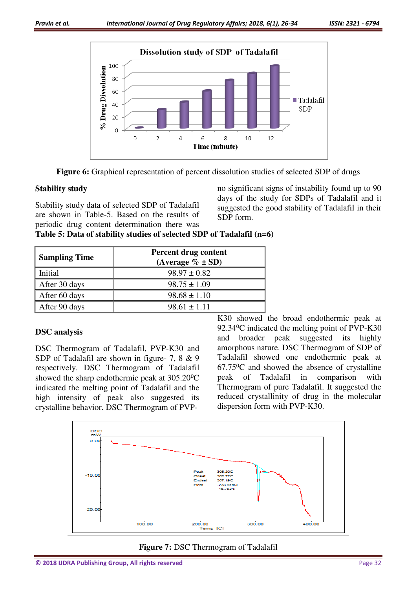

**Figure 6:** Graphical representation of percent dissolution studies of selected SDP of drugs

### **Stability study**

Stability study data of selected SDP of Tadalafil are shown in Table-5. Based on the results of periodic drug content determination there was

no significant signs of instability found up to 90 days of the study for SDPs of Tadalafil and it suggested the good stability of Tadalafil in their SDP form.

|  |  | Table 5: Data of stability studies of selected SDP of Tadalafil (n=6) |
|--|--|-----------------------------------------------------------------------|
|--|--|-----------------------------------------------------------------------|

| <b>Sampling Time</b> | Percent drug content<br>(Average $\% \pm SD$ ) |  |
|----------------------|------------------------------------------------|--|
| Initial              | $98.97 \pm 0.82$                               |  |
| After 30 days        | $98.75 \pm 1.09$                               |  |
| After 60 days        | $98.68 \pm 1.10$                               |  |
| After 90 days        | $98.61 \pm 1.11$                               |  |

### **DSC analysis**

DSC Thermogram of Tadalafil, PVP-K30 and SDP of Tadalafil are shown in figure- 7, 8 & 9 respectively. DSC Thermogram of Tadalafil showed the sharp endothermic peak at  $305.20^{\circ}$ C indicated the melting point of Tadalafil and the high intensity of peak also suggested its crystalline behavior. DSC Thermogram of PVP-

K30 showed the broad endothermic peak at 92.34⁰C indicated the melting point of PVP-K30 and broader peak suggested its highly amorphous nature. DSC Thermogram of SDP of Tadalafil showed one endothermic peak at  $67.75^{\circ}$ C and showed the absence of crystalline peak of Tadalafil in comparison with Thermogram of pure Tadalafil. It suggested the reduced crystallinity of drug in the molecular dispersion form with PVP-K30.



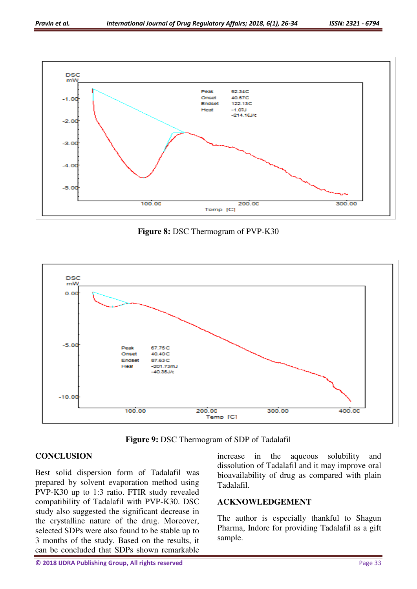

**Figure 8:** DSC Thermogram of PVP-K30



**Figure 9:** DSC Thermogram of SDP of Tadalafil

### **CONCLUSION**

Best solid dispersion form of Tadalafil was prepared by solvent evaporation method using PVP-K30 up to 1:3 ratio. FTIR study revealed compatibility of Tadalafil with PVP-K30. DSC study also suggested the significant decrease in the crystalline nature of the drug. Moreover, selected SDPs were also found to be stable up to 3 months of the study. Based on the results, it can be concluded that SDPs shown remarkable increase in the aqueous solubility and dissolution of Tadalafil and it may improve oral bioavailability of drug as compared with plain Tadalafil.

### **ACKNOWLEDGEMENT**

The author is especially thankful to Shagun Pharma, Indore for providing Tadalafil as a gift sample.